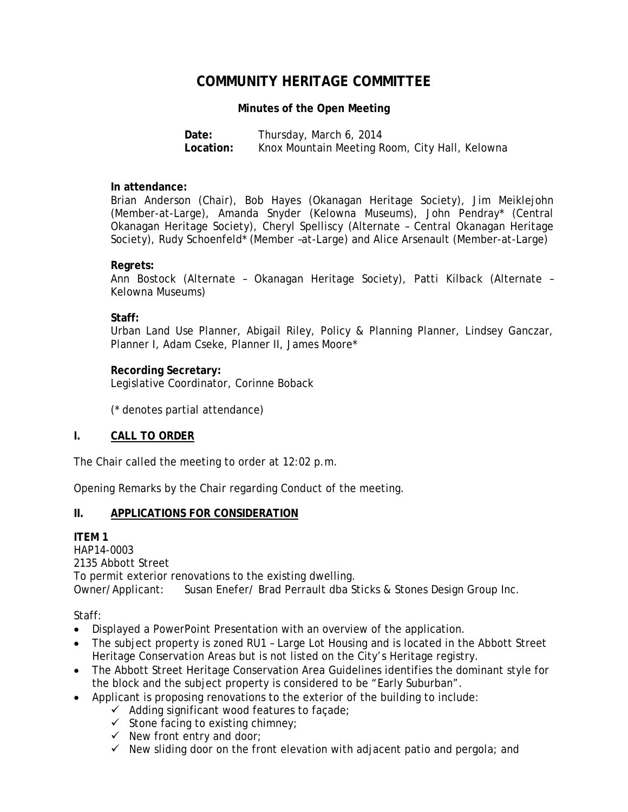# **COMMUNITY HERITAGE COMMITTEE**

## **Minutes of the Open Meeting**

**Date:** Thursday, March 6, 2014 **Location:** Knox Mountain Meeting Room, City Hall, Kelowna

#### **In attendance:**

Brian Anderson (Chair), Bob Hayes (Okanagan Heritage Society), Jim Meiklejohn (Member-at-Large), Amanda Snyder (Kelowna Museums), John Pendray\* (Central Okanagan Heritage Society), Cheryl Spelliscy (Alternate – Central Okanagan Heritage Society), Rudy Schoenfeld\* (Member –at-Large) and Alice Arsenault (Member-at-Large)

### **Regrets:**

Ann Bostock (Alternate – Okanagan Heritage Society), Patti Kilback (Alternate – Kelowna Museums)

### **Staff:**

Urban Land Use Planner, Abigail Riley, Policy & Planning Planner, Lindsey Ganczar, Planner I, Adam Cseke, Planner II, James Moore\*

# **Recording Secretary:**

Legislative Coordinator, Corinne Boback

(\* denotes partial attendance)

# **I. CALL TO ORDER**

The Chair called the meeting to order at 12:02 p.m.

Opening Remarks by the Chair regarding Conduct of the meeting.

# **II. APPLICATIONS FOR CONSIDERATION**

# **ITEM 1**

HAP14-0003 2135 Abbott Street To permit exterior renovations to the existing dwelling. Owner/Applicant: Susan Enefer/ Brad Perrault dba Sticks & Stones Design Group Inc.

Staff:

- Displayed a PowerPoint Presentation with an overview of the application.
- The subject property is zoned RU1 Large Lot Housing and is located in the Abbott Street Heritage Conservation Areas but is not listed on the City's Heritage registry.
- The Abbott Street Heritage Conservation Area Guidelines identifies the dominant style for the block and the subject property is considered to be "Early Suburban".
- Applicant is proposing renovations to the exterior of the building to include:
	- $\checkmark$  Adding significant wood features to façade;
	- $\checkmark$  Stone facing to existing chimney;
	- $\checkmark$  New front entry and door;
	- $\checkmark$  New sliding door on the front elevation with adjacent patio and pergola; and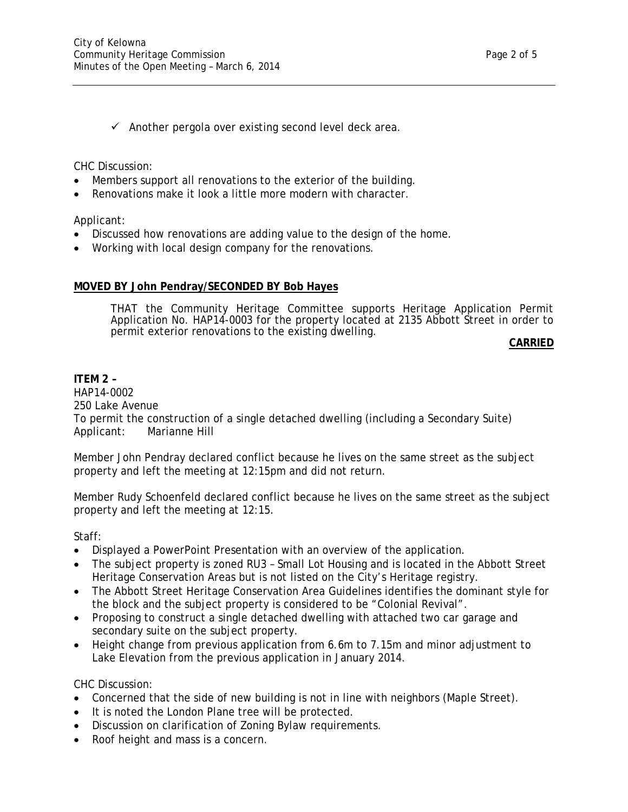CHC Discussion:

- Members support all renovations to the exterior of the building.
- Renovations make it look a little more modern with character.

Applicant:

- Discussed how renovations are adding value to the design of the home.
- Working with local design company for the renovations.

# **MOVED BY John Pendray/SECONDED BY Bob Hayes**

THAT the Community Heritage Committee supports Heritage Application Permit Application No. HAP14-0003 for the property located at 2135 Abbott Street in order to permit exterior renovations to the existing dwelling.

**CARRIED**

# **ITEM 2 –**

HAP14-0002 250 Lake Avenue To permit the construction of a single detached dwelling (including a Secondary Suite) Applicant: Marianne Hill

Member John Pendray declared conflict because he lives on the same street as the subject property and left the meeting at 12:15pm and did not return.

Member Rudy Schoenfeld declared conflict because he lives on the same street as the subject property and left the meeting at 12:15.

Staff:

- Displayed a PowerPoint Presentation with an overview of the application.
- The subject property is zoned RU3 Small Lot Housing and is located in the Abbott Street Heritage Conservation Areas but is not listed on the City's Heritage registry.
- The Abbott Street Heritage Conservation Area Guidelines identifies the dominant style for the block and the subject property is considered to be "Colonial Revival".
- Proposing to construct a single detached dwelling with attached two car garage and secondary suite on the subject property.
- Height change from previous application from 6.6m to 7.15m and minor adjustment to Lake Elevation from the previous application in January 2014.

CHC Discussion:

- Concerned that the side of new building is not in line with neighbors (Maple Street).
- It is noted the London Plane tree will be protected.
- Discussion on clarification of Zoning Bylaw requirements.
- Roof height and mass is a concern.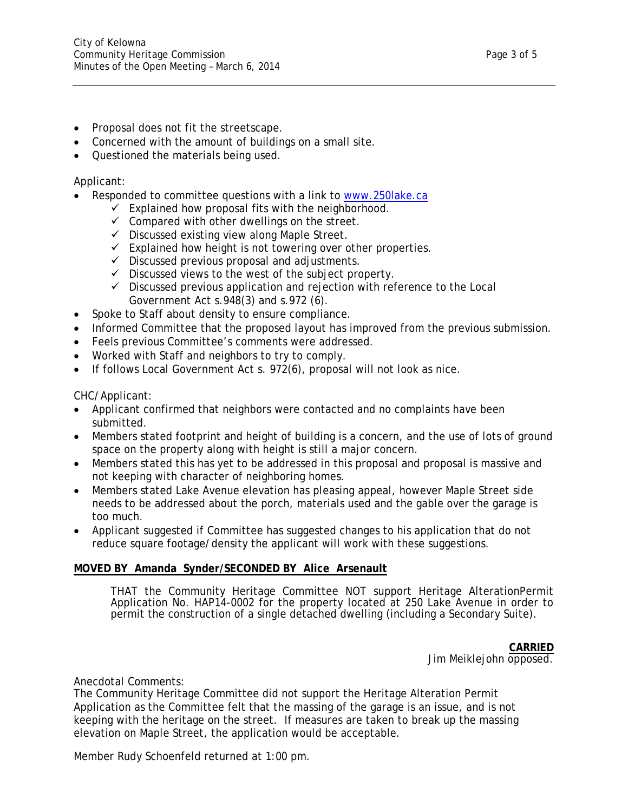- Proposal does not fit the streetscape.
- Concerned with the amount of buildings on a small site.
- Questioned the materials being used.

# Applicant:

- Responded to committee questions with a link to www.250lake.ca
	- $\checkmark$  Explained how proposal fits with the neighborhood.
	- $\checkmark$  Compared with other dwellings on the street.
	- $\checkmark$  Discussed existing view along Maple Street.
	- $\checkmark$  Explained how height is not towering over other properties.
	- $\checkmark$  Discussed previous proposal and adjustments.
	- $\checkmark$  Discussed views to the west of the subject property.
	- $\checkmark$  Discussed previous application and rejection with reference to the Local Government Act s.948(3) and s.972 (6).
- Spoke to Staff about density to ensure compliance.
- Informed Committee that the proposed layout has improved from the previous submission.
- Feels previous Committee's comments were addressed.
- Worked with Staff and neighbors to try to comply.
- If follows Local Government Act s. 972(6), proposal will not look as nice.

CHC/Applicant:

- Applicant confirmed that neighbors were contacted and no complaints have been submitted.
- Members stated footprint and height of building is a concern, and the use of lots of ground space on the property along with height is still a major concern.
- Members stated this has yet to be addressed in this proposal and proposal is massive and not keeping with character of neighboring homes.
- Members stated Lake Avenue elevation has pleasing appeal, however Maple Street side needs to be addressed about the porch, materials used and the gable over the garage is too much.
- Applicant suggested if Committee has suggested changes to his application that do not reduce square footage/density the applicant will work with these suggestions.

#### **MOVED BY Amanda Synder/SECONDED BY Alice Arsenault**

THAT the Community Heritage Committee NOT support Heritage AlterationPermit Application No. HAP14-0002 for the property located at 250 Lake Avenue in order to permit the construction of a single detached dwelling (including a Secondary Suite).

**CARRIED**

Jim Meiklejohn opposed.

Anecdotal Comments:

The Community Heritage Committee did not support the Heritage Alteration Permit Application as the Committee felt that the massing of the garage is an issue, and is not keeping with the heritage on the street. If measures are taken to break up the massing elevation on Maple Street, the application would be acceptable.

Member Rudy Schoenfeld returned at 1:00 pm.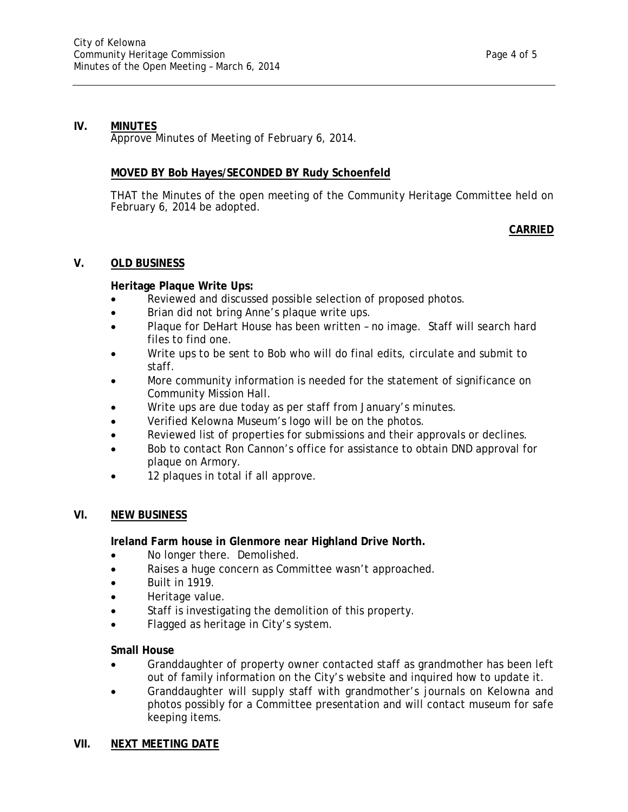# **IV. MINUTES**

Approve Minutes of Meeting of February 6, 2014.

# **MOVED BY Bob Hayes/SECONDED BY Rudy Schoenfeld**

THAT the Minutes of the open meeting of the Community Heritage Committee held on February 6, 2014 be adopted.

### **CARRIED**

### **V. OLD BUSINESS**

### **Heritage Plaque Write Ups:**

- Reviewed and discussed possible selection of proposed photos.
- Brian did not bring Anne's plaque write ups.
- Plaque for DeHart House has been written no image. Staff will search hard files to find one.
- Write ups to be sent to Bob who will do final edits, circulate and submit to staff.
- More community information is needed for the statement of significance on Community Mission Hall.
- Write ups are due today as per staff from January's minutes.
- Verified Kelowna Museum's logo will be on the photos.
- Reviewed list of properties for submissions and their approvals or declines.
- Bob to contact Ron Cannon's office for assistance to obtain DND approval for plaque on Armory.
- 12 plaques in total if all approve.

# **VI. NEW BUSINESS**

**Ireland Farm house in Glenmore near Highland Drive North.** 

- No longer there. Demolished.
- Raises a huge concern as Committee wasn't approached.
- $\bullet$  Built in 1919.
- Heritage value.
- Staff is investigating the demolition of this property.
- Flagged as heritage in City's system.

#### **Small House**

- Granddaughter of property owner contacted staff as grandmother has been left out of family information on the City's website and inquired how to update it.
- Granddaughter will supply staff with grandmother's journals on Kelowna and photos possibly for a Committee presentation and will contact museum for safe keeping items.

#### **VII. NEXT MEETING DATE**